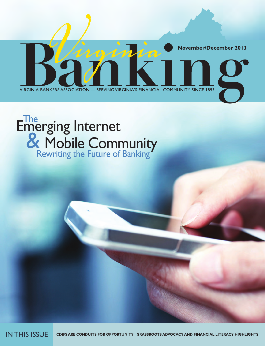

## Emerging Internet & Mobile Community Rewriting the Future of Banking The

IN THIS ISSUE **CDIFS ARE CONDUITS FOR OPPORTUNITY | GRASSROOTS ADVOCACY AND FINANCIAL LITERACY HIGHLIGHTS**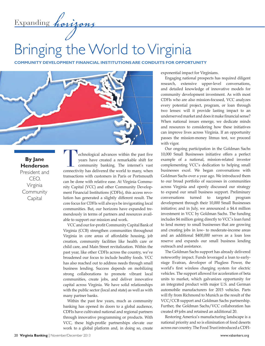Expanding *horizons*

## Bringing the World to Virginia

**COMMUNITY DEVELOPMENT FINANCIAL INSTITUTIONS ARE CONDUITS FOR OPPORTUNITY**



**By Jane Henderson**

President and CEO, Virginia **Community Capital** 

echnological advances within the past five years have created a remarkable shift for community banking. The internet's vast connectivity has delivered the world to many, when transactions with customers in Paris or Portsmouth can be done with relative ease. At Virginia Community Capital (VCC) and other Community Development Financial Institutions (CDFIs), this access revolution has generated a slightly different result. The core focus for CDFIs will always be invigorating local communities. But, our horizons have expanded tremendously in terms of partners and resources available to support our mission and work.

VCC and our for-profit Community Capital Bank of Virginia (CCB) strengthen communities throughout Virginia in core areas of affordable housing, job creation, community facilities like health care or child care, and Main Street revitalization. Within the past year, like other CDFIs across the country, we've broadened our focus to include healthy foods. VCC has also reached out to address needs through small business lending. Success depends on mobilizing strong collaborations to promote vibrant local communities, create jobs, and deliver innovative capital across Virginia. We have solid relationships with the public sector (local and state) as well as with many partner banks.

Within the past few years, much as community banking has opened its doors to a global audience, CDFIs have cultivated national and regional partners through innovative programming or products. With VCC, these high-profile partnerships elevate our work to a global platform and, in doing so, create exponential impact for Virginians.

Engaging national prospects has required diligent research, extensive upper-level conversations, and detailed knowledge of innovative models for community development investment. As with most CDFIs who are also mission-focused, VCC analyzes every potential project, program, or loan through two lenses: will it provide lasting impact to an underserved market and does it make financial sense? When national issues emerge, we dedicate minds and resources to considering how these initiatives can improve lives across Virginia. If an opportunity passes the mission-money litmus test, we proceed with vigor.

Our ongoing participation in the Goldman Sachs 10,000 Small Businesses initiative offers a perfect example of a national, mission-related investor complementing VCC's dedication to helping small businesses excel. We began conversations with Goldman Sachs over a year ago. We introduced them to our broad portfolio of successes in communities across Virginia and openly discussed our strategy to expand our small business support. Preliminary conversations turned to targeted program development through their 10,000 Small Businesses initiative; and in July, we announced a \$4.4 million investment in VCC by Goldman Sachs. The funding includes \$4 million going directly to VCC's loan fund to lend money to small businesses that are growing and creating jobs in low- to moderate-income areas and an additional \$400,000 serves as a loan loss reserve and expands our small business lending outreach and assistance.

The Goldman Sachs support has already delivered noteworthy impact. Funds leveraged a loan to earlystage Evatran, developer of Plugless Power, the world's first wireless charging system for electric vehicles. The support allowed for acceleration of beta units to market, which galvanizes opportunity for an integrated product with major U.S. and German automobile manufacturers for 2015 vehicles. Parts will fly from Richmond to Munich as the result of the VCC/CCB support and Goldman Sachs partnership. Further, the Goldman Sachs/VCC collaboration has created 49 jobs and retained an additional 20.

Restoring America's manufacturing landscape is a national priority and so is elimination of food deserts across our country. The Food Trust introduced a CDFI-